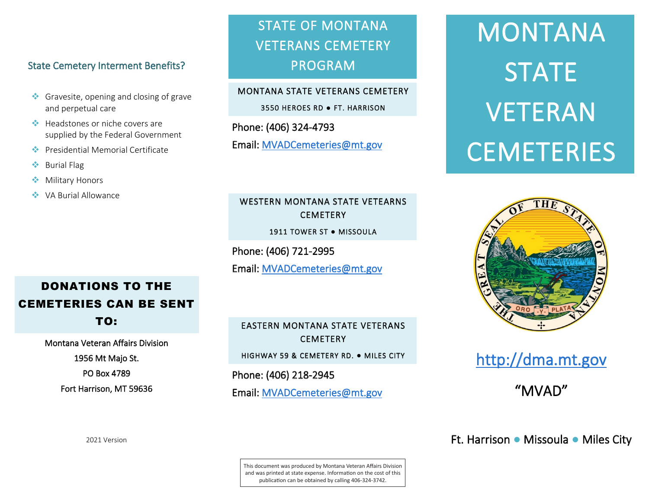#### State Cemetery Interment Benefits? State Cemetery Interment Benefits? State Cemetery Interment Benefits? Ĭ

- $\bullet\bullet$  Gravesite, opening and closing of grave and perpetual care and perpetual care and perpetual care
- Headstones or niche covers are supplied by the Federal Government leadstones or niche covers are Presidential Memorial Certificate Presidential Memorial Certificate adstones or niche covers are
- **Presidential Memorial Certificate** Burial Flag Burial Flag Burial Flag Burial Flag Burial Flag Burial Flag Burial Flag Burial Flag Burial Flag Burial Flag Burial Flag Burial Flag Burial Flag Burial Flag Burial Flag Burial Flag Burial Flag Burial Flag Burial
- Burial Flag
- **◆** Military Honors Military Honors Military Honors
- VA Burial Allowance VA Burial Allowance VA Burial Allowance

#### STATE OF MONTANA VETERANS CEMETERY PROGRAM STATE OF MONTANA STATE OF MONTANA VETERANS CEMETERY VETERANS CEMETERY PROGRAM PROGRAM

#### MONTANA STATE VETERANS CEMETERY MONTANA STATE VETERANS CEMETERY

3550 HEROES RD **●** FT. HARRISON 3550 HEROES RD **●** FT. HARRISON

 $\frac{1}{2}$ Email: <u>MVAD cometeries@mt.g</u> Phone: (406) 324-4793 Phone: (406) 324-4793 Email: MVADCemeteries@mt.gov Email: MVADCemeteries@mt.gov

#### WESTERN MONTANA STATE VETEARNS CEMETERY CEMETERY CEMETERY

1911 TOWER ST **●** MISSOULA 1911 TOWER ST **●** MISSOULA 1911 TOWER ST **●** MISSOULA

Phone: (406) 721-2995 Phone: (406) 721-2995 Phone: (406) 721-2995

Email: MVADCemeteries@mt.gov Email: MVADCemeteries@mt.gov Email: MVADCemeteries@mt.gov

## EASTERN MONTANA STATE VETERANS EASTERN MONTANA STATE VETERANS EASTERN MONTANA STATE VETERANS CEMETERY CEMETERY CEMETERY

HIGHWAY 59 & CEMETERY RD. **●** MILES CITY HIGHWAY 59 & CEMETERY RD. **●** MILES CITY HIGHWAY 59 & CEMETERY RD. **●** MILES CITY

Phone: (406) 218-2945 Phone: (406) 218-2945 Phone: (406) 218-2945

Email: MVADCemeteries@mt.gov Email: MVADCemeteries@mt.gov Email: MVADCemeteries@mt.gov

# **MUNTAN** STAT VEIERA CEMETERIE MONTANA MONTANA STATE STATE VETERAN VETERAN CEMETERIES CEMETERIES



# http://dma.mt.gov http://dma.mt.gov http://dma.mt.gov

"MVAD" "MVAD" "MVAD"

Ft. Harrison **●** Missoula **●** Miles City Ft. Harrison **●** Missoula **●** Miles City Ft. Harrison **●** Missoula **●** Miles City

# DONATIONS TO THE DONATIONS TO THE DONATIONS TO THE CEMETERIES CAN BE SENT CEMETERIES CAN BE SENT CEMETERIES CAN BE SENT TO: TO: TO:

Montana Veteran Affairs Division Montana Veteran Affairs Division Montana Veteran Affairs Division 1956 Mt Majo St. 1956 Mt Majo St. 1956 Mt Majo St. PO Box 4789 PO Box 4789 PO Box 4789 Fort Harrison, MT 59636 Fort Harrison, MT 59636 Fort Harrison, MT 59636

2021 Version 2021 Version 2021 Version

This document was produced by Montana Veteran Affairs Division and was printed at state expense. Information on the cost of this publication can be obtained by calling 406-324-3742.